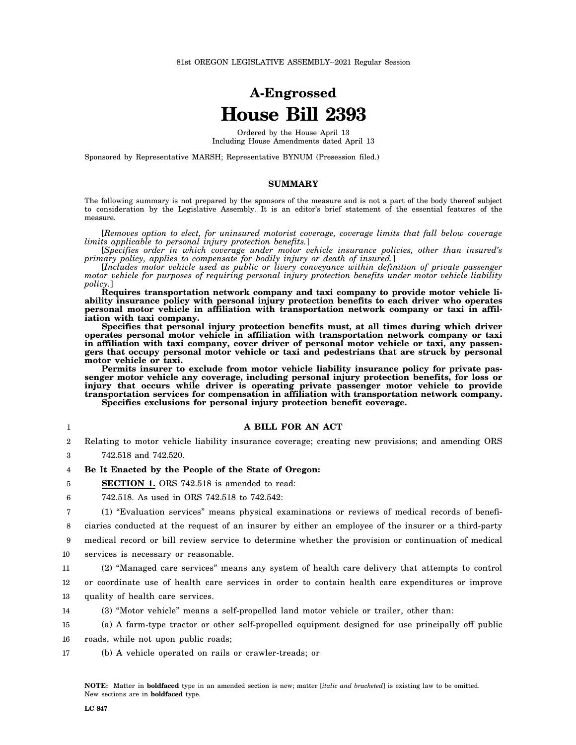# **A-Engrossed House Bill 2393**

Ordered by the House April 13 Including House Amendments dated April 13

Sponsored by Representative MARSH; Representative BYNUM (Presession filed.)

### **SUMMARY**

The following summary is not prepared by the sponsors of the measure and is not a part of the body thereof subject to consideration by the Legislative Assembly. It is an editor's brief statement of the essential features of the measure.

[*Removes option to elect, for uninsured motorist coverage, coverage limits that fall below coverage limits applicable to personal injury protection benefits.*]

[*Specifies order in which coverage under motor vehicle insurance policies, other than insured's primary policy, applies to compensate for bodily injury or death of insured.*]

[*Includes motor vehicle used as public or livery conveyance within definition of private passenger motor vehicle for purposes of requiring personal injury protection benefits under motor vehicle liability policy.*]

**Requires transportation network company and taxi company to provide motor vehicle liability insurance policy with personal injury protection benefits to each driver who operates personal motor vehicle in affiliation with transportation network company or taxi in affiliation with taxi company.**

**Specifies that personal injury protection benefits must, at all times during which driver operates personal motor vehicle in affiliation with transportation network company or taxi** in affiliation with taxi company, cover driver of personal motor vehicle or taxi, any passen**gers that occupy personal motor vehicle or taxi and pedestrians that are struck by personal motor vehicle or taxi.**

**Permits insurer to exclude from motor vehicle liability insurance policy for private passenger motor vehicle any coverage, including personal injury protection benefits, for loss or injury that occurs while driver is operating private passenger motor vehicle to provide transportation services for compensation in affiliation with transportation network company. Specifies exclusions for personal injury protection benefit coverage.**

#### **A BILL FOR AN ACT**

2 Relating to motor vehicle liability insurance coverage; creating new provisions; and amending ORS

3 742.518 and 742.520.

1

5

4 **Be It Enacted by the People of the State of Oregon:**

**SECTION 1.** ORS 742.518 is amended to read:

6 742.518. As used in ORS 742.518 to 742.542:

7 (1) "Evaluation services" means physical examinations or reviews of medical records of benefi-

8 ciaries conducted at the request of an insurer by either an employee of the insurer or a third-party

9 10 medical record or bill review service to determine whether the provision or continuation of medical services is necessary or reasonable.

11 (2) "Managed care services" means any system of health care delivery that attempts to control

12 or coordinate use of health care services in order to contain health care expenditures or improve

13 quality of health care services.

14 (3) "Motor vehicle" means a self-propelled land motor vehicle or trailer, other than:

15 (a) A farm-type tractor or other self-propelled equipment designed for use principally off public

16 roads, while not upon public roads;

17 (b) A vehicle operated on rails or crawler-treads; or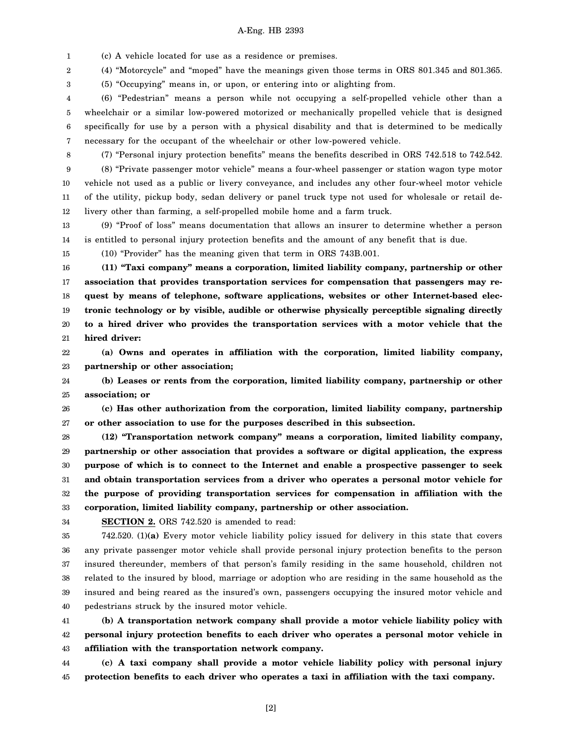#### A-Eng. HB 2393

1 (c) A vehicle located for use as a residence or premises.

2 (4) "Motorcycle" and "moped" have the meanings given those terms in ORS 801.345 and 801.365.

(5) "Occupying" means in, or upon, or entering into or alighting from.

4 5 6 7 (6) "Pedestrian" means a person while not occupying a self-propelled vehicle other than a wheelchair or a similar low-powered motorized or mechanically propelled vehicle that is designed specifically for use by a person with a physical disability and that is determined to be medically necessary for the occupant of the wheelchair or other low-powered vehicle.

8

3

9 10 11 12 (7) "Personal injury protection benefits" means the benefits described in ORS 742.518 to 742.542. (8) "Private passenger motor vehicle" means a four-wheel passenger or station wagon type motor vehicle not used as a public or livery conveyance, and includes any other four-wheel motor vehicle of the utility, pickup body, sedan delivery or panel truck type not used for wholesale or retail delivery other than farming, a self-propelled mobile home and a farm truck.

13 14 (9) "Proof of loss" means documentation that allows an insurer to determine whether a person is entitled to personal injury protection benefits and the amount of any benefit that is due.

15

(10) "Provider" has the meaning given that term in ORS 743B.001.

16 17 18 19 20 21 **(11) "Taxi company" means a corporation, limited liability company, partnership or other association that provides transportation services for compensation that passengers may request by means of telephone, software applications, websites or other Internet-based electronic technology or by visible, audible or otherwise physically perceptible signaling directly to a hired driver who provides the transportation services with a motor vehicle that the hired driver:**

22 23 **(a) Owns and operates in affiliation with the corporation, limited liability company, partnership or other association;**

24 25 **(b) Leases or rents from the corporation, limited liability company, partnership or other association; or**

26 27 **(c) Has other authorization from the corporation, limited liability company, partnership or other association to use for the purposes described in this subsection.**

28 29 30 31 32 33 **(12) "Transportation network company" means a corporation, limited liability company, partnership or other association that provides a software or digital application, the express purpose of which is to connect to the Internet and enable a prospective passenger to seek and obtain transportation services from a driver who operates a personal motor vehicle for the purpose of providing transportation services for compensation in affiliation with the corporation, limited liability company, partnership or other association.**

34

**SECTION 2.** ORS 742.520 is amended to read:

35 36 37 38 39 40 742.520. (1)**(a)** Every motor vehicle liability policy issued for delivery in this state that covers any private passenger motor vehicle shall provide personal injury protection benefits to the person insured thereunder, members of that person's family residing in the same household, children not related to the insured by blood, marriage or adoption who are residing in the same household as the insured and being reared as the insured's own, passengers occupying the insured motor vehicle and pedestrians struck by the insured motor vehicle.

41 42 43 **(b) A transportation network company shall provide a motor vehicle liability policy with personal injury protection benefits to each driver who operates a personal motor vehicle in affiliation with the transportation network company.**

44 45 **(c) A taxi company shall provide a motor vehicle liability policy with personal injury protection benefits to each driver who operates a taxi in affiliation with the taxi company.**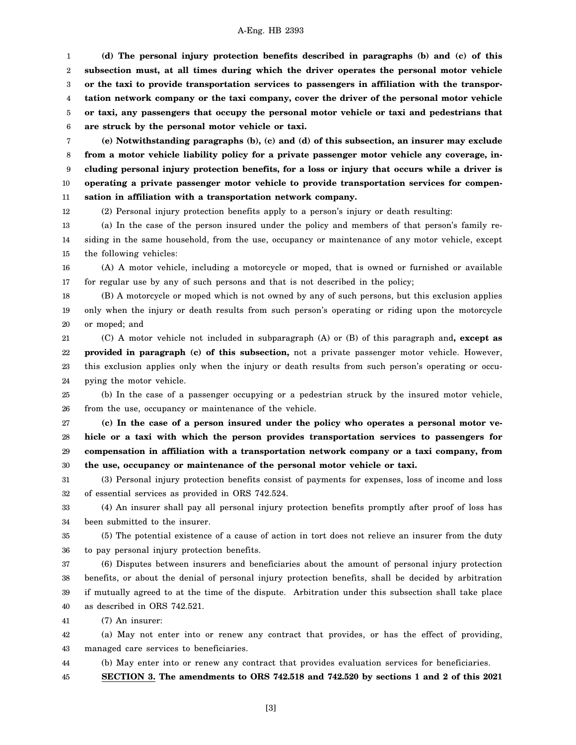#### A-Eng. HB 2393

1 2 3 4 5 6 **(d) The personal injury protection benefits described in paragraphs (b) and (c) of this subsection must, at all times during which the driver operates the personal motor vehicle or the taxi to provide transportation services to passengers in affiliation with the transportation network company or the taxi company, cover the driver of the personal motor vehicle or taxi, any passengers that occupy the personal motor vehicle or taxi and pedestrians that are struck by the personal motor vehicle or taxi.**

7 8 9 10 11 **(e) Notwithstanding paragraphs (b), (c) and (d) of this subsection, an insurer may exclude from a motor vehicle liability policy for a private passenger motor vehicle any coverage, including personal injury protection benefits, for a loss or injury that occurs while a driver is operating a private passenger motor vehicle to provide transportation services for compensation in affiliation with a transportation network company.**

12 (2) Personal injury protection benefits apply to a person's injury or death resulting:

13 14 15 (a) In the case of the person insured under the policy and members of that person's family residing in the same household, from the use, occupancy or maintenance of any motor vehicle, except the following vehicles:

16 17 (A) A motor vehicle, including a motorcycle or moped, that is owned or furnished or available for regular use by any of such persons and that is not described in the policy;

18 19 20 (B) A motorcycle or moped which is not owned by any of such persons, but this exclusion applies only when the injury or death results from such person's operating or riding upon the motorcycle or moped; and

21 22 23 24 (C) A motor vehicle not included in subparagraph (A) or (B) of this paragraph and**, except as provided in paragraph (c) of this subsection,** not a private passenger motor vehicle. However, this exclusion applies only when the injury or death results from such person's operating or occupying the motor vehicle.

25 26 (b) In the case of a passenger occupying or a pedestrian struck by the insured motor vehicle, from the use, occupancy or maintenance of the vehicle.

27 28 29 30 **(c) In the case of a person insured under the policy who operates a personal motor vehicle or a taxi with which the person provides transportation services to passengers for compensation in affiliation with a transportation network company or a taxi company, from the use, occupancy or maintenance of the personal motor vehicle or taxi.**

31 32 (3) Personal injury protection benefits consist of payments for expenses, loss of income and loss of essential services as provided in ORS 742.524.

33 34 (4) An insurer shall pay all personal injury protection benefits promptly after proof of loss has been submitted to the insurer.

35 36 (5) The potential existence of a cause of action in tort does not relieve an insurer from the duty to pay personal injury protection benefits.

37 38 39 40 (6) Disputes between insurers and beneficiaries about the amount of personal injury protection benefits, or about the denial of personal injury protection benefits, shall be decided by arbitration if mutually agreed to at the time of the dispute. Arbitration under this subsection shall take place as described in ORS 742.521.

41 (7) An insurer:

42 43 (a) May not enter into or renew any contract that provides, or has the effect of providing, managed care services to beneficiaries.

44 (b) May enter into or renew any contract that provides evaluation services for beneficiaries.

45 **SECTION 3. The amendments to ORS 742.518 and 742.520 by sections 1 and 2 of this 2021**